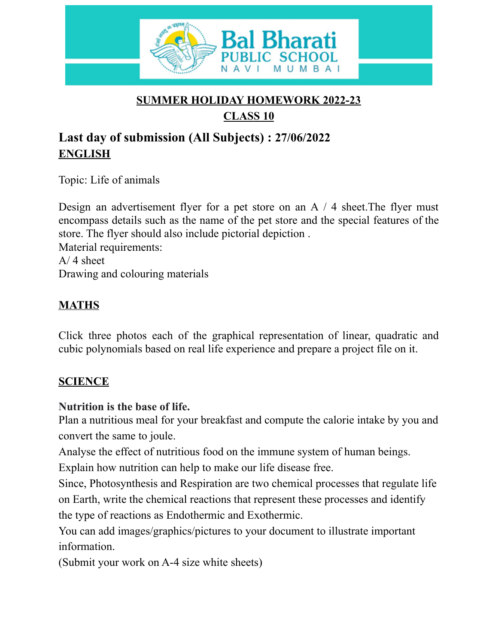

#### **SUMMER HOLIDAY HOMEWORK 2022-23 CLASS 10**

# **Last day of submission (All Subjects) : 27/06/2022 ENGLISH**

Topic: Life of animals

Design an advertisement flyer for a pet store on an A / 4 sheet.The flyer must encompass details such as the name of the pet store and the special features of the store. The flyer should also include pictorial depiction . Material requirements:  $A/4$  sheet Drawing and colouring materials

## **MATHS**

Click three photos each of the graphical representation of linear, quadratic and cubic polynomials based on real life experience and prepare a project file on it.

#### **SCIENCE**

#### **Nutrition is the base of life.**

Plan a nutritious meal for your breakfast and compute the calorie intake by you and convert the same to joule.

Analyse the effect of nutritious food on the immune system of human beings.

Explain how nutrition can help to make our life disease free.

Since, Photosynthesis and Respiration are two chemical processes that regulate life on Earth, write the chemical reactions that represent these processes and identify the type of reactions as Endothermic and Exothermic.

You can add images/graphics/pictures to your document to illustrate important information.

(Submit your work on A-4 size white sheets)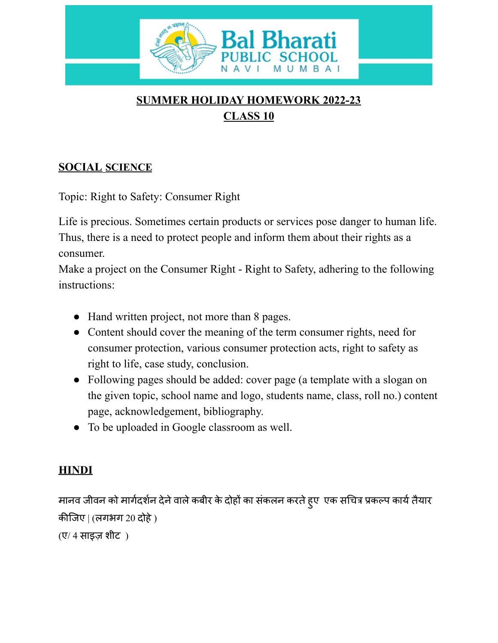

## **SUMMER HOLIDAY HOMEWORK 2022-23 CLASS 10**

## **SOCIAL SCIENCE**

Topic: Right to Safety: Consumer Right

Life is precious. Sometimes certain products or services pose danger to human life. Thus, there is a need to protect people and inform them about their rights as a consumer.

Make a project on the Consumer Right - Right to Safety, adhering to the following instructions:

- Hand written project, not more than 8 pages.
- Content should cover the meaning of the term consumer rights, need for consumer protection, various consumer protection acts, right to safety as right to life, case study, conclusion.
- Following pages should be added: cover page (a template with a slogan on the given topic, school name and logo, students name, class, roll no.) content page, acknowledgement, bibliography.
- To be uploaded in Google classroom as well.

#### **HINDI**

मानव जीवन को मार्गदर्शन देने वाले कबीर के दोहों का संकलन करते हुए एक सचित्र प्रकल्प कार्य तैयार कीजिए | (लगभग 20 दोहे )

 $(\nabla/4 \pi \vec{s})$  शीट)